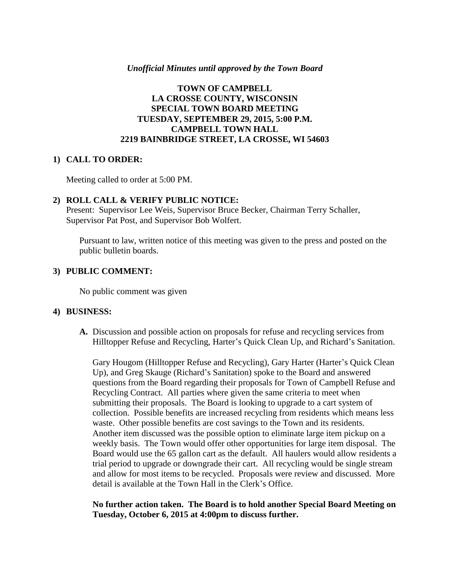## *Unofficial Minutes until approved by the Town Board*

# **TOWN OF CAMPBELL LA CROSSE COUNTY, WISCONSIN SPECIAL TOWN BOARD MEETING TUESDAY, SEPTEMBER 29, 2015, 5:00 P.M. CAMPBELL TOWN HALL 2219 BAINBRIDGE STREET, LA CROSSE, WI 54603**

### **1) CALL TO ORDER:**

Meeting called to order at 5:00 PM.

## **2) ROLL CALL & VERIFY PUBLIC NOTICE:**

Present: Supervisor Lee Weis, Supervisor Bruce Becker, Chairman Terry Schaller, Supervisor Pat Post, and Supervisor Bob Wolfert.

Pursuant to law, written notice of this meeting was given to the press and posted on the public bulletin boards.

## **3) PUBLIC COMMENT:**

No public comment was given

#### **4) BUSINESS:**

**A.** Discussion and possible action on proposals for refuse and recycling services from Hilltopper Refuse and Recycling, Harter's Quick Clean Up, and Richard's Sanitation.

Gary Hougom (Hilltopper Refuse and Recycling), Gary Harter (Harter's Quick Clean Up), and Greg Skauge (Richard's Sanitation) spoke to the Board and answered questions from the Board regarding their proposals for Town of Campbell Refuse and Recycling Contract. All parties where given the same criteria to meet when submitting their proposals. The Board is looking to upgrade to a cart system of collection. Possible benefits are increased recycling from residents which means less waste. Other possible benefits are cost savings to the Town and its residents. Another item discussed was the possible option to eliminate large item pickup on a weekly basis. The Town would offer other opportunities for large item disposal. The Board would use the 65 gallon cart as the default. All haulers would allow residents a trial period to upgrade or downgrade their cart. All recycling would be single stream and allow for most items to be recycled. Proposals were review and discussed. More detail is available at the Town Hall in the Clerk's Office.

**No further action taken. The Board is to hold another Special Board Meeting on Tuesday, October 6, 2015 at 4:00pm to discuss further.**